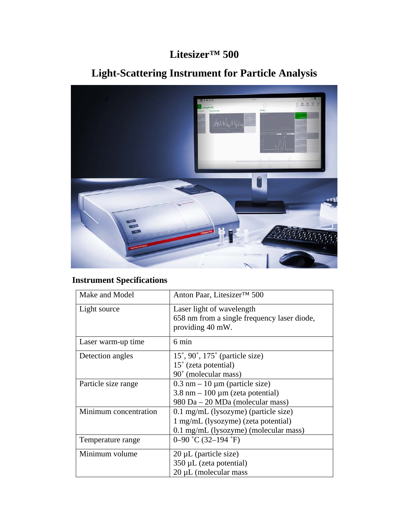## **Litesizer™ 500**

## **Light-Scattering Instrument for Particle Analysis**



## **Instrument Specifications**

| Make and Model        | Anton Paar, Litesizer™ 500                                                                                                       |
|-----------------------|----------------------------------------------------------------------------------------------------------------------------------|
| Light source          | Laser light of wavelength<br>658 nm from a single frequency laser diode,<br>providing 40 mW.                                     |
| Laser warm-up time    | 6 min                                                                                                                            |
| Detection angles      | $15^{\circ}$ , 90°, 175° (particle size)<br>$15^{\circ}$ (zeta potential)<br>90° (molecular mass)                                |
| Particle size range   | $0.3$ nm $-10 \mu$ m (particle size)<br>$3.8 \text{ nm} - 100 \mu \text{m}$ (zeta potential)<br>980 Da – 20 MDa (molecular mass) |
| Minimum concentration | $0.1$ mg/mL (lysozyme) (particle size)<br>1 mg/mL (lysozyme) (zeta potential)<br>0.1 mg/mL (lysozyme) (molecular mass)           |
| Temperature range     | $0 - 90$ °C (32-194 °F)                                                                                                          |
| Minimum volume        | $20 \mu L$ (particle size)<br>350 µL (zeta potential)<br>$20 \mu L$ (molecular mass                                              |